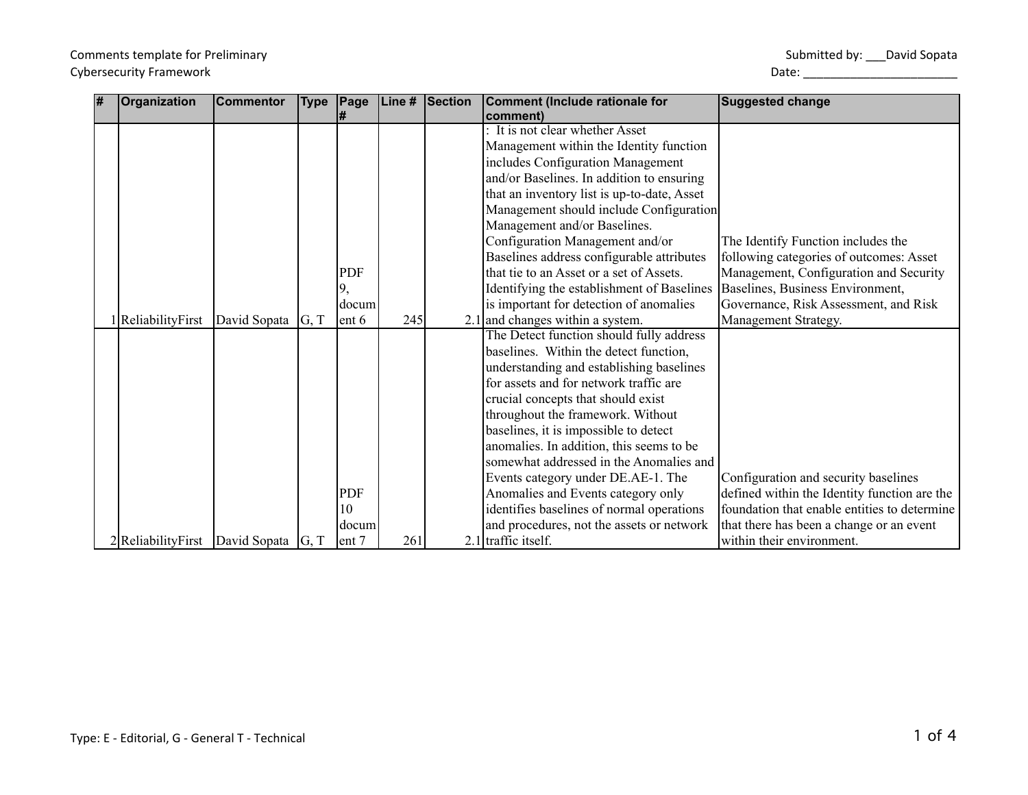Submitted by: \_\_\_ David Sopata

| 1# | Organization                                | <b>Commentor</b> | <b>Type</b> | Page   | Line # | <b>Section</b> | Comment (Include rationale for              | <b>Suggested change</b>                      |
|----|---------------------------------------------|------------------|-------------|--------|--------|----------------|---------------------------------------------|----------------------------------------------|
|    |                                             |                  |             | #      |        |                | comment)<br>It is not clear whether Asset   |                                              |
|    |                                             |                  |             |        |        |                |                                             |                                              |
|    |                                             |                  |             |        |        |                | Management within the Identity function     |                                              |
|    |                                             |                  |             |        |        |                | includes Configuration Management           |                                              |
|    |                                             |                  |             |        |        |                | and/or Baselines. In addition to ensuring   |                                              |
|    |                                             |                  |             |        |        |                | that an inventory list is up-to-date, Asset |                                              |
|    |                                             |                  |             |        |        |                | Management should include Configuration     |                                              |
|    |                                             |                  |             |        |        |                | Management and/or Baselines.                |                                              |
|    |                                             |                  |             |        |        |                | Configuration Management and/or             | The Identify Function includes the           |
|    |                                             |                  |             |        |        |                | Baselines address configurable attributes   | following categories of outcomes: Asset      |
|    |                                             |                  |             | PDF    |        |                | that tie to an Asset or a set of Assets.    | Management, Configuration and Security       |
|    |                                             |                  |             | 9,     |        |                | Identifying the establishment of Baselines  | Baselines, Business Environment,             |
|    |                                             |                  |             | docum  |        |                | is important for detection of anomalies     | Governance, Risk Assessment, and Risk        |
|    | 1 ReliabilityFirst                          | David Sopata     | G, T        | lent 6 | 245    |                | $2.1$ and changes within a system.          | Management Strategy.                         |
|    |                                             |                  |             |        |        |                | The Detect function should fully address    |                                              |
|    |                                             |                  |             |        |        |                | baselines. Within the detect function,      |                                              |
|    |                                             |                  |             |        |        |                | understanding and establishing baselines    |                                              |
|    |                                             |                  |             |        |        |                | for assets and for network traffic are      |                                              |
|    |                                             |                  |             |        |        |                | crucial concepts that should exist          |                                              |
|    |                                             |                  |             |        |        |                | throughout the framework. Without           |                                              |
|    |                                             |                  |             |        |        |                | baselines, it is impossible to detect       |                                              |
|    |                                             |                  |             |        |        |                | anomalies. In addition, this seems to be    |                                              |
|    |                                             |                  |             |        |        |                | somewhat addressed in the Anomalies and     |                                              |
|    |                                             |                  |             |        |        |                | Events category under DE.AE-1. The          | Configuration and security baselines         |
|    |                                             |                  |             | PDF    |        |                | Anomalies and Events category only          | defined within the Identity function are the |
|    |                                             |                  |             | 10     |        |                | identifies baselines of normal operations   | foundation that enable entities to determine |
|    |                                             |                  |             | docum  |        |                | and procedures, not the assets or network   | that there has been a change or an event     |
|    | $2 R$ eliabilityFirst David Sopata $ G, T $ |                  |             | ent 7  | 261    |                | $2.1$ traffic itself.                       | within their environment.                    |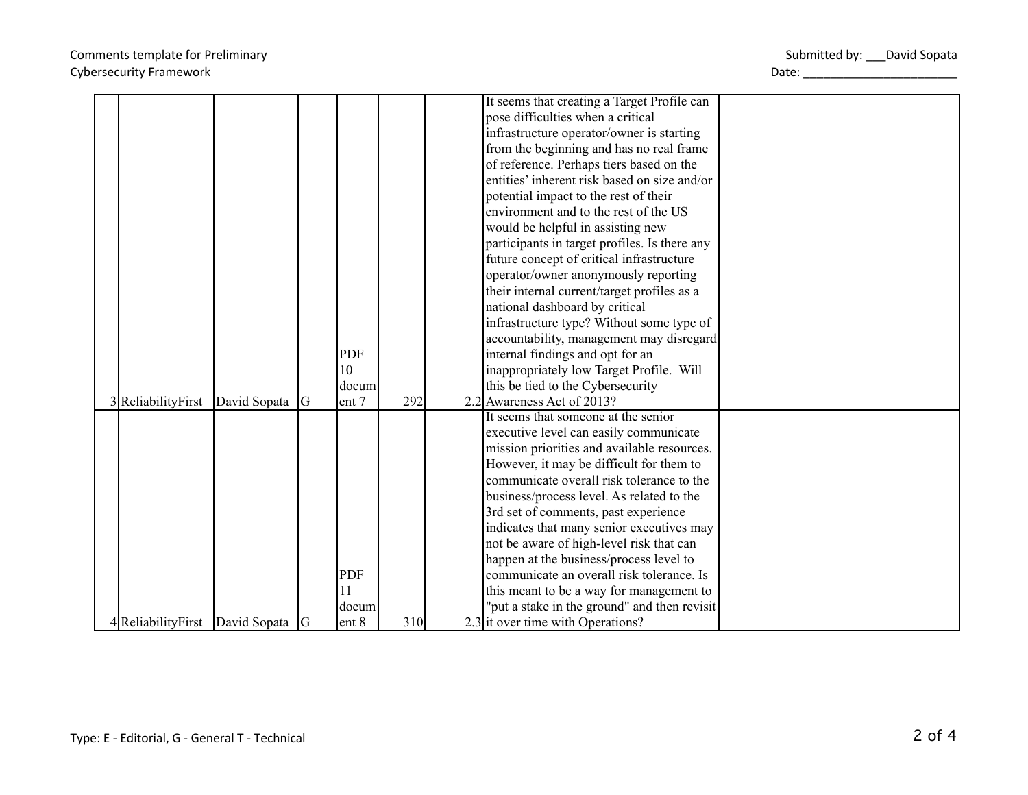## Comments template for Preliminary Cybersecurity Framework and the control of the control of the control of the control of the control of the control of the control of the control of the control of the control of the control of the control of the control of

|  |                                    |                |            |     | It seems that creating a Target Profile can   |  |
|--|------------------------------------|----------------|------------|-----|-----------------------------------------------|--|
|  |                                    |                |            |     | pose difficulties when a critical             |  |
|  |                                    |                |            |     | infrastructure operator/owner is starting     |  |
|  |                                    |                |            |     | from the beginning and has no real frame      |  |
|  |                                    |                |            |     | of reference. Perhaps tiers based on the      |  |
|  |                                    |                |            |     | entities' inherent risk based on size and/or  |  |
|  |                                    |                |            |     | potential impact to the rest of their         |  |
|  |                                    |                |            |     | environment and to the rest of the US         |  |
|  |                                    |                |            |     | would be helpful in assisting new             |  |
|  |                                    |                |            |     | participants in target profiles. Is there any |  |
|  |                                    |                |            |     | future concept of critical infrastructure     |  |
|  |                                    |                |            |     | operator/owner anonymously reporting          |  |
|  |                                    |                |            |     | their internal current/target profiles as a   |  |
|  |                                    |                |            |     | national dashboard by critical                |  |
|  |                                    |                |            |     | infrastructure type? Without some type of     |  |
|  |                                    |                |            |     | accountability, management may disregard      |  |
|  |                                    |                | <b>PDF</b> |     | internal findings and opt for an              |  |
|  |                                    |                | 10         |     | inappropriately low Target Profile. Will      |  |
|  |                                    |                | docum      |     | this be tied to the Cybersecurity             |  |
|  | 3ReliabilityFirst                  | David Sopata G | ent 7      | 292 | 2.2 Awareness Act of 2013?                    |  |
|  |                                    |                |            |     | It seems that someone at the senior           |  |
|  |                                    |                |            |     | executive level can easily communicate        |  |
|  |                                    |                |            |     | mission priorities and available resources.   |  |
|  |                                    |                |            |     | However, it may be difficult for them to      |  |
|  |                                    |                |            |     | communicate overall risk tolerance to the     |  |
|  |                                    |                |            |     | business/process level. As related to the     |  |
|  |                                    |                |            |     | 3rd set of comments, past experience          |  |
|  |                                    |                |            |     | indicates that many senior executives may     |  |
|  |                                    |                |            |     | not be aware of high-level risk that can      |  |
|  |                                    |                |            |     | happen at the business/process level to       |  |
|  |                                    |                | <b>PDF</b> |     | communicate an overall risk tolerance. Is     |  |
|  |                                    |                | 11         |     | this meant to be a way for management to      |  |
|  |                                    |                | docum      |     | "put a stake in the ground" and then revisit  |  |
|  | 4 Reliability First David Sopata G |                | ent 8      | 310 | 2.3 it over time with Operations?             |  |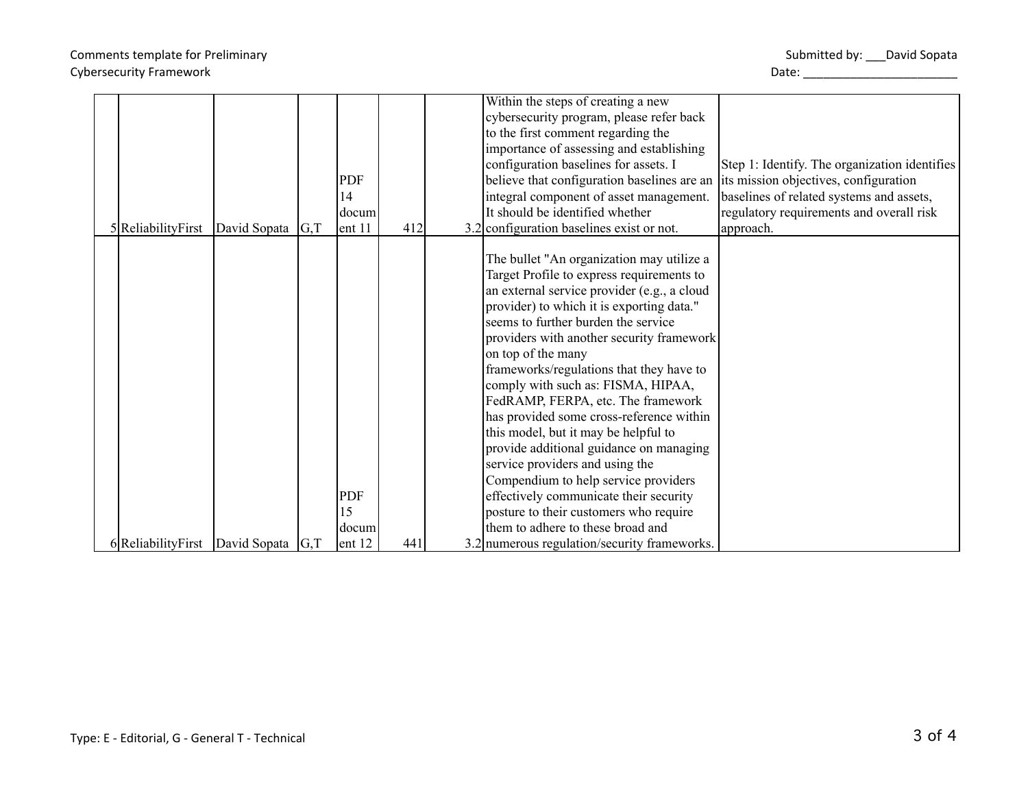## Comments template for Preliminary Cybersecurity Framework **Date:** 2004 Cybersecurity Framework **Date:** 2004 Outching Date:

|                                            |              |     |            |     | Within the steps of creating a new           |                                               |
|--------------------------------------------|--------------|-----|------------|-----|----------------------------------------------|-----------------------------------------------|
|                                            |              |     |            |     | cybersecurity program, please refer back     |                                               |
|                                            |              |     |            |     | to the first comment regarding the           |                                               |
|                                            |              |     |            |     | importance of assessing and establishing     |                                               |
|                                            |              |     |            |     | configuration baselines for assets. I        | Step 1: Identify. The organization identifies |
|                                            |              |     | <b>PDF</b> |     | believe that configuration baselines are an  | its mission objectives, configuration         |
|                                            |              |     | 14         |     | integral component of asset management.      | baselines of related systems and assets,      |
|                                            |              |     | docum      |     | It should be identified whether              | regulatory requirements and overall risk      |
| $5$ ReliabilityFirst                       | David Sopata | G,T | ent 11     | 412 | 3.2 configuration baselines exist or not.    | approach.                                     |
|                                            |              |     |            |     |                                              |                                               |
|                                            |              |     |            |     | The bullet "An organization may utilize a    |                                               |
|                                            |              |     |            |     | Target Profile to express requirements to    |                                               |
|                                            |              |     |            |     | an external service provider (e.g., a cloud  |                                               |
|                                            |              |     |            |     | provider) to which it is exporting data."    |                                               |
|                                            |              |     |            |     | seems to further burden the service          |                                               |
|                                            |              |     |            |     | providers with another security framework    |                                               |
|                                            |              |     |            |     | on top of the many                           |                                               |
|                                            |              |     |            |     | frameworks/regulations that they have to     |                                               |
|                                            |              |     |            |     | comply with such as: FISMA, HIPAA,           |                                               |
|                                            |              |     |            |     | FedRAMP, FERPA, etc. The framework           |                                               |
|                                            |              |     |            |     | has provided some cross-reference within     |                                               |
|                                            |              |     |            |     | this model, but it may be helpful to         |                                               |
|                                            |              |     |            |     | provide additional guidance on managing      |                                               |
|                                            |              |     |            |     | service providers and using the              |                                               |
|                                            |              |     |            |     | Compendium to help service providers         |                                               |
|                                            |              |     | PDF        |     | effectively communicate their security       |                                               |
|                                            |              |     | 15         |     | posture to their customers who require       |                                               |
|                                            |              |     | docum      |     | them to adhere to these broad and            |                                               |
| 6 Reliability First   David Sopata $ G,T $ |              |     | ent 12     | 441 | 3.2 numerous regulation/security frameworks. |                                               |